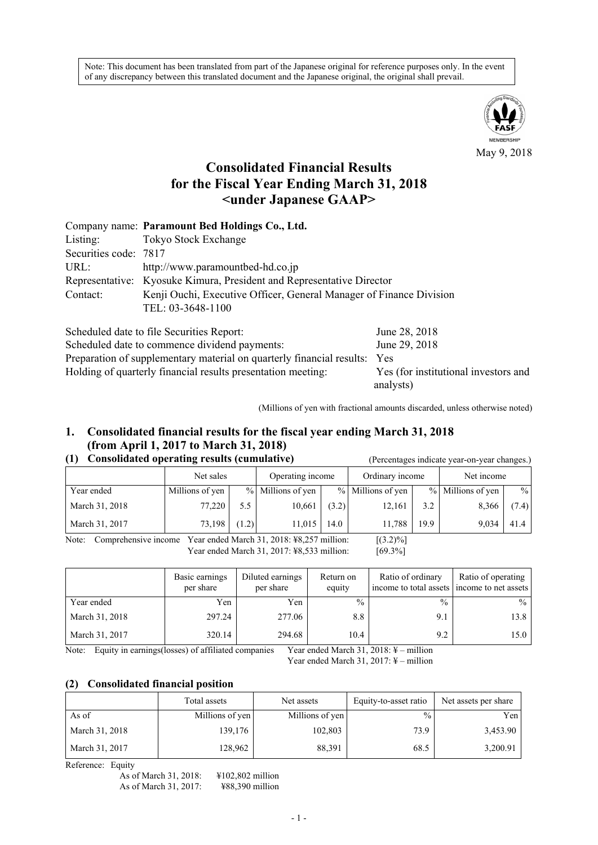Note: This document has been translated from part of the Japanese original for reference purposes only. In the event of any discrepancy between this translated document and the Japanese original, the original shall prevail.



May 9, 2018

# **Consolidated Financial Results for the Fiscal Year Ending March 31, 2018 <under Japanese GAAP>**

|                       | Company name: Paramount Bed Holdings Co., Ltd.                        |
|-----------------------|-----------------------------------------------------------------------|
| Listing:              | Tokyo Stock Exchange                                                  |
| Securities code: 7817 |                                                                       |
| URL:                  | http://www.paramountbed-hd.co.jp                                      |
|                       | Representative: Kyosuke Kimura, President and Representative Director |
| Contact:              | Kenji Ouchi, Executive Officer, General Manager of Finance Division   |
|                       | TEL: 03-3648-1100                                                     |
|                       |                                                                       |

| Scheduled date to file Securities Report:                                 | June 28, 2018                        |
|---------------------------------------------------------------------------|--------------------------------------|
| Scheduled date to commence dividend payments:                             | June 29, 2018                        |
| Preparation of supplementary material on quarterly financial results: Yes |                                      |
| Holding of quarterly financial results presentation meeting:              | Yes (for institutional investors and |
|                                                                           | analysts)                            |

(Millions of yen with fractional amounts discarded, unless otherwise noted)

# **1. Consolidated financial results for the fiscal year ending March 31, 2018 (from April 1, 2017 to March 31, 2018)**

### **(1) Consolidated operating results (cumulative)** (Percentages indicate year-on-year changes.)

|                | Net sales       |       | Operating income  |       | Ordinary income   |      | Net income        |       |
|----------------|-----------------|-------|-------------------|-------|-------------------|------|-------------------|-------|
| Year ended     | Millions of yen |       | % Millions of yen |       | % Millions of yen |      | % Millions of yen | $\%$  |
| March 31, 2018 | 77,220          | 5.5   | 10,661            | (3.2) | 12,161            | 3.2  | 8,366             | (7.4) |
| March 31, 2017 | 73,198          | (1.2) | 11,015            | 14.0  | 11.788            | 19.9 | 9,034             | 41.4  |

Note: Comprehensive income Year ended March 31, 2018: ¥8,257 million: [(3.2)%] Year ended March 31, 2017: ¥8,533 million: [69.3%]

|                | Basic earnings<br>per share | Diluted earnings<br>per share | Return on<br>equity | Ratio of ordinary<br>income to total assets income to net assets | Ratio of operating |
|----------------|-----------------------------|-------------------------------|---------------------|------------------------------------------------------------------|--------------------|
| Year ended     | Yen                         | Yen                           | $\frac{0}{0}$       | $\frac{0}{0}$                                                    | $\frac{0}{0}$      |
| March 31, 2018 | 297.24                      | 277.06                        | 8.8                 | 9.1                                                              | 13.8               |
| March 31, 2017 | 320.14<br>0.00111           | 294.68                        | 10.4                | 9.2<br>                                                          | 15.0               |

Note: Equity in earnings(losses) of affiliated companies Year ended March 31, 2018: ¥ – million

Year ended March 31, 2017: ¥ – million

#### **(2) Consolidated financial position**

|                | Total assets    | Net assets      | Equity-to-asset ratio | Net assets per share |
|----------------|-----------------|-----------------|-----------------------|----------------------|
| As of          | Millions of yen | Millions of yen | $\frac{0}{0}$         | Yen                  |
| March 31, 2018 | 139,176         | 102,803         | 73.9                  | 3,453.90             |
| March 31, 2017 | 128,962         | 88,391          | 68.5                  | 3,200.91             |

Reference: Equity

As of March 31, 2018: \times \times \times \times \times \times \times \times \times \times \times \times \times \times \times \times \times \times \times \times \times \times \times \times \times \times \times \times \tim As of March 31, 2017: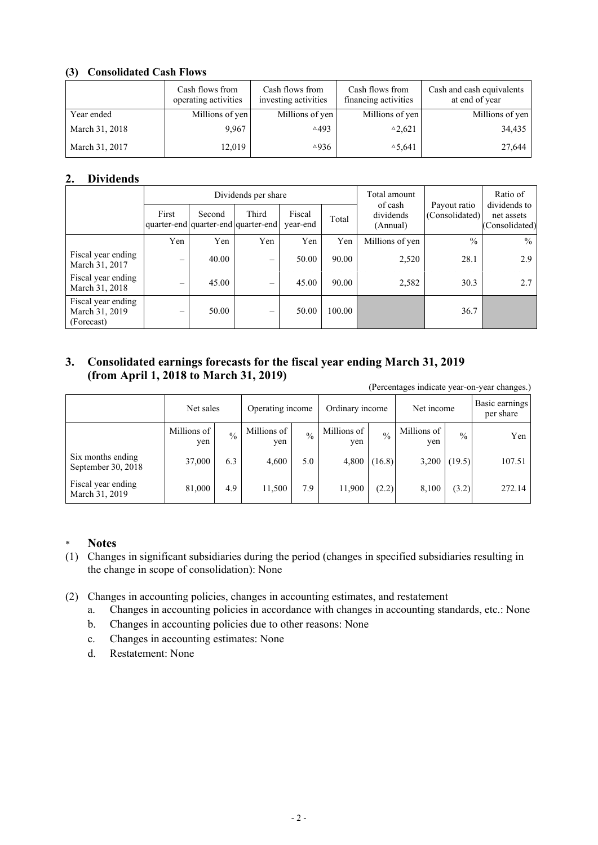## **(3) Consolidated Cash Flows**

|                | Cash flows from<br>operating activities | Cash flows from<br>investing activities | Cash flows from<br>financing activities | Cash and cash equivalents<br>at end of year |
|----------------|-----------------------------------------|-----------------------------------------|-----------------------------------------|---------------------------------------------|
| Year ended     | Millions of yen                         | Millions of yen                         | Millions of yen                         | Millions of yen                             |
| March 31, 2018 | 9.967                                   | $\triangle 493$                         | $^{\triangle}2,621$                     | 34,435                                      |
| March 31, 2017 | 12,019                                  | $\triangle$ 936                         | $\triangle 5,641$                       | 27,644                                      |

## **2. Dividends**

|                                                    |                 |        | Dividends per share                          |                    | Total amount |                                  | Ratio of                       |                                              |
|----------------------------------------------------|-----------------|--------|----------------------------------------------|--------------------|--------------|----------------------------------|--------------------------------|----------------------------------------------|
|                                                    | First           | Second | Third<br>quarter-end quarter-end quarter-end | Fiscal<br>year-end | Total        | of cash<br>dividends<br>(Annual) | Payout ratio<br>(Consolidated) | dividends to<br>net assets<br>(Consolidated) |
|                                                    | Yen             | Yen    | Yen                                          | Yen                | Yen          | Millions of yen                  | $\frac{0}{0}$                  | $\frac{0}{0}$                                |
| Fiscal year ending<br>March 31, 2017               | $\qquad \qquad$ | 40.00  | $\qquad \qquad \longleftarrow$               | 50.00              | 90.00        | 2,520                            | 28.1                           | 2.9                                          |
| Fiscal year ending<br>March 31, 2018               | $\qquad \qquad$ | 45.00  | $\equiv$                                     | 45.00              | 90.00        | 2,582                            | 30.3                           | 2.7                                          |
| Fiscal year ending<br>March 31, 2019<br>(Forecast) | $\qquad \qquad$ | 50.00  | $\overline{\phantom{0}}$                     | 50.00              | 100.00       |                                  | 36.7                           |                                              |

# **3. Consolidated earnings forecasts for the fiscal year ending March 31, 2019 (from April 1, 2018 to March 31, 2019)**

(Percentages indicate year-on-year changes.)

|                                         | Net sales          |               | Operating income   |               | Ordinary income    |        | Net income         |               | Basic earnings<br>per share |
|-----------------------------------------|--------------------|---------------|--------------------|---------------|--------------------|--------|--------------------|---------------|-----------------------------|
|                                         | Millions of<br>yen | $\frac{0}{0}$ | Millions of<br>yen | $\frac{0}{0}$ | Millions of<br>yen | 0/2    | Millions of<br>yen | $\frac{0}{0}$ | Yen                         |
| Six months ending<br>September 30, 2018 | 37,000             | 6.3           | 4,600              | 5.0           | 4,800              | (16.8) | 3,200              | (19.5)        | 107.51                      |
| Fiscal year ending<br>March 31, 2019    | 81,000             | 4.9           | 11.500             | 7.9           | 11,900             | (2.2)  | 8,100              | (3.2)         | 272.14                      |

## \* **Notes**

- (1) Changes in significant subsidiaries during the period (changes in specified subsidiaries resulting in the change in scope of consolidation): None
- (2) Changes in accounting policies, changes in accounting estimates, and restatement
	- a. Changes in accounting policies in accordance with changes in accounting standards, etc.: None
	- b. Changes in accounting policies due to other reasons: None
	- c. Changes in accounting estimates: None
	- d. Restatement: None